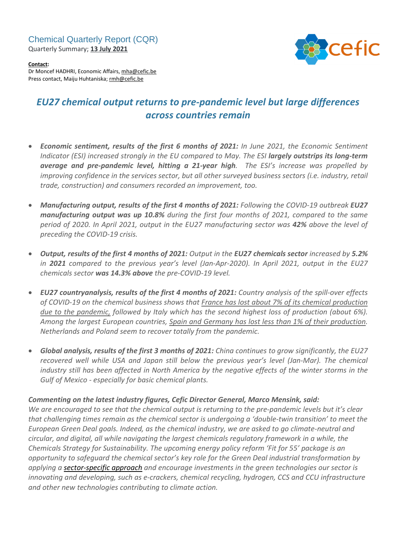Chemical Quarterly Report (CQR) Quarterly Summary; **13 July 2021**



**Contact:** Dr Moncef HADHRI, Economic Affairs, [mha@cefic.be](mailto:mha@cefic.be) Press contact, Maiju Huhtaniska; [rmh@cefic.be](mailto:rmh@cefic.be)

# *EU27 chemical output returns to pre-pandemic level but large differences across countries remain*

- *Economic sentiment, results of the first 6 months of 2021: In June 2021, the Economic Sentiment Indicator (ESI) increased strongly in the EU compared to May. The ESI largely outstrips its long-term average and pre-pandemic level, hitting a 21-year high. The ESI's increase was propelled by improving confidence in the services sector, but all other surveyed business sectors (i.e. industry, retail trade, construction) and consumers recorded an improvement, too.*
- *Manufacturing output, results of the first 4 months of 2021: Following the COVID-19 outbreak EU27 manufacturing output was up 10.8% during the first four months of 2021, compared to the same period of 2020. In April 2021, output in the EU27 manufacturing sector was 42% above the level of preceding the COVID-19 crisis.*
- Output, results of the first 4 months of 2021: Output in the EU27 chemicals sector increased by 5.2% *in 2021 compared to the previous year's level (Jan-Apr-2020). In April 2021, output in the EU27 chemicals sector was 14.3% above the pre-COVID-19 level.*
- *EU27 countryanalysis, results of the first 4 months of 2021: Country analysis of the spill-over effects of COVID-19 on the chemical business shows that France has lost about 7% of its chemical production due to the pandemic, followed by Italy which has the second highest loss of production (about 6%). Among the largest European countries, Spain and Germany has lost less than 1% of their production. Netherlands and Poland seem to recover totally from the pandemic.*
- *Global analysis, results of the first 3 months of 2021: China continues to grow significantly, the EU27 recovered well while USA and Japan still below the previous year's level (Jan-Mar). The chemical* industry still has been affected in North America by the negative effects of the winter storms in the *Gulf of Mexico - especially for basic chemical plants.*

# *Commenting on the latest industry figures, Cefic Director General, Marco Mensink, said:*

We are encouraged to see that the chemical output is returning to the pre-pandemic levels but it's clear *that challenging times remain as the chemical sector is undergoing a 'double-twin transition' to meet the European Green Deal goals. Indeed, as the chemical industry, we are asked to go climate-neutral and circular, and digital, all while navigating the largest chemicals regulatory framework in a while, the Chemicals Strategy for Sustainability. The upcoming energy policy reform 'Fit for 55' package is an opportunity to safeguard the chemical sector's key role for the Green Deal industrial transformation by applying a [sector-specific](https://cefic.org/media-corner/newsroom/sectoral-pathways-will-be-key-to-a-successful-industrial-transition-cefic-director-general-says-welcoming-the-update-of-the-eu-industrial-strategy/?utm_campaign=Formula%20for%20Innovation-Anyone&utm_source=Politico-PRO-Energy-Insights-Newsletter&utm_medium=post-paid&utm_content=News-IS&utm_term=Europe_cefic_Anyone___Formula_for_Innovation___post-paid_News-IS_14/06/2021) approach and encourage investments in the green technologies our sector is innovating and developing, such as e-crackers, chemical recycling, hydrogen, CCS and CCU infrastructure and other new technologies contributing to climate action.*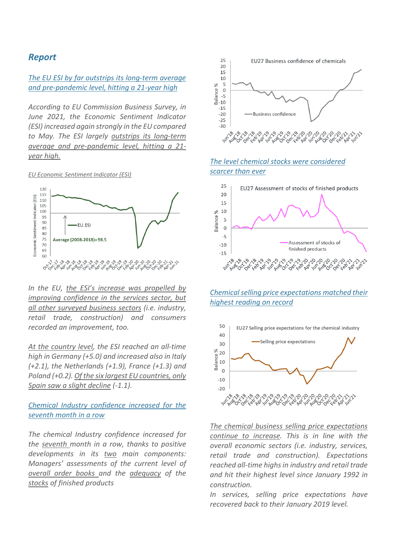# *Report*

#### *The EU ESI by far outstrips its long-term average and pre-pandemic level, hitting a 21-year high*

*According to EU Commission Business Survey, in June 2021, the Economic Sentiment Indicator (ESI) increased again strongly in the EU compared to May. The ESI largely outstrips its long-term average and pre-pandemic level, hitting a 21 year high.*

*EU Economic Sentiment Indicator (ESI)*



*In the EU, the ESI's increase was propelled by improving confidence in the services sector, but all other surveyed business sectors (i.e. industry, retail trade, construction) and consumers recorded an improvement, too.*

*At the country level, the ESI reached an all-time high in Germany (+5.0) and increased also in Italy (+2.1), the Netherlands (+1.9), France (+1.3) and Poland (+0.2). Of the six largest EU countries, only Spain saw a slight decline (-1.1).*

### *Chemical Industry confidence increased for the seventh month in a row*

*The chemical Industry confidence increased for the seventh month in a row, thanks to positive developments in its two main components: Managers' assessments of the current level of overall order books and the adequacy of the stocks of finished products*



#### *The level chemical stocks were considered scarcer than ever*



*Chemicalselling price expectations matched their highest reading on record*



*The chemical business selling price expectations continue to increase. This is in line with the overall economic sectors (i.e. industry, services, retail trade and construction). Expectations reached all-time highsin industry and retail trade and hit their highest level since January 1992 in construction.*

*In services, selling price expectations have recovered back to their January 2019 level.*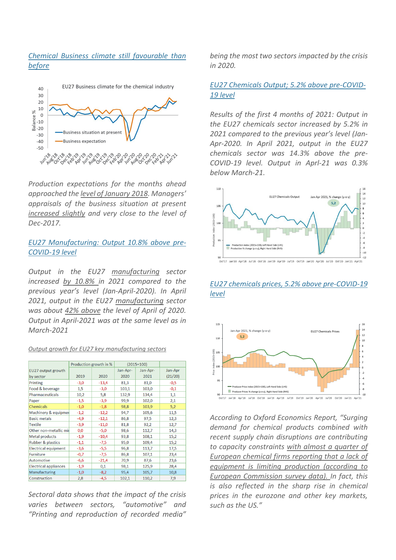# *Chemical Business climate still favourable than before*



*Production expectations for the months ahead approached the level of January 2018. Managers' appraisals of the business situation at present increased slightly and very close to the level of Dec-2017.*

#### *EU27 Manufacturing: Output 10.8% above pre-COVID-19 level*

*Output in the EU27 manufacturing sector increased by 10.8% in 2021 compared to the previous year's level (Jan-April-2020). In April 2021, output in the EU27 manufacturing sector was about 42% above the level of April of 2020. Output in April-2021 was at the same level as in March-2021*

#### *Output growth for EU27 key manufacturing sectors*

|                              | Production growth in % |         | $(2015=100)$ |          |         |
|------------------------------|------------------------|---------|--------------|----------|---------|
| EU27 output growth           |                        |         | Jan-Apr-     | Jan-Apr- | Jan-Apr |
| by sector                    | 2019                   | 2020    | 2020         | 2021     | (21/20) |
| Printing                     | $-3,0$                 | $-13,4$ | 81,3         | 81,0     | $-0,5$  |
| Food & beverage              | 1,5                    | $-3,0$  | 103.1        | 103,0    | $-0,1$  |
| <b>Pharmaceuticals</b>       | 10,2                   | 5,8     | 132,9        | 134,4    | 1,1     |
| Paper                        | $-1,5$                 | $-3,9$  | 99,9         | 102,0    | 2,1     |
| <b>Chemicals</b>             | $-1,0$                 | $-1,8$  | 98,8         | 103,9    | 5,2     |
| Machinery & equipmer         | $-1,2$                 | $-12,2$ | 94,7         | 105,6    | 11,5    |
| <b>Basic metals</b>          | $-4,9$                 | $-12,1$ | 86,8         | 97,5     | 12,3    |
| Textile                      | $-3,9$                 | $-11,0$ | 81,8         | 92,2     | 12,7    |
| Other non-metallic mil       | 0,0                    | $-5,0$  | 98,6         | 112,7    | 14,3    |
| Metal products               | $-1,9$                 | $-10,4$ | 93,8         | 108,1    | 15,2    |
| <b>Rubber &amp; plastics</b> | $-1,1$                 | $-7,5$  | 95,0         | 109,4    | 15,2    |
| <b>Electrical equipment</b>  | $-3,6$                 | $-5,5$  | 96,8         | 113,7    | 17,5    |
| <b>Furniture</b>             | $-0,7$                 | $-7,5$  | 86,8         | 107,1    | 23,4    |
| <b>Automotive</b>            | $-6,6$                 | $-21,4$ | 70,9         | 87,6     | 23,6    |
| <b>Electrical appliances</b> | $-1,9$                 | 0,1     | 98,1         | 125,9    | 28,4    |
| Manufacturing                | $-1,0$                 | $-8,2$  | 95,4         | 105,7    | 10,8    |
| Construction                 | 2,8                    | $-4,5$  | 102,1        | 110,2    | 7,9     |

*Sectoral data shows that the impact of the crisis varies between sectors, "automotive" and "Printing and reproduction of recorded media"* *being the most two sectors impacted by the crisis in 2020.*

#### *EU27 Chemicals Output; 5.2% above pre-COVID-19 level*

*Results of the first 4 months of 2021: Output in the EU27 chemicals sector increased by 5.2% in 2021 compared to the previous year's level (Jan-Apr-2020. In April 2021, output in the EU27 chemicals sector was 14.3% above the pre-COVID-19 level. Output in Aprl-21 was 0.3% below March-21.*



# *EU27 chemicals prices, 5.2% above pre-COVID-19 level*



*According to Oxford Economics Report, "Surging demand for chemical products combined with recent supply chain disruptions are contributing to capacity constraints with almost a quarter of European chemical firms reporting that a lack of equipment is limiting production (according to European Commission survey data). In fact, this is also reflected in the sharp rise in chemical prices in the eurozone and other key markets, such as the US."*